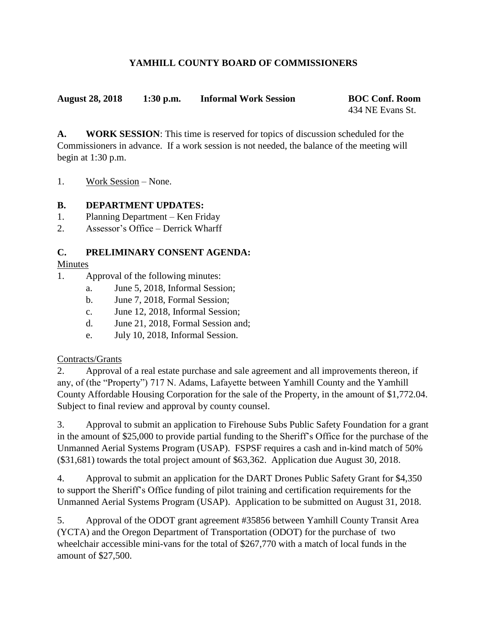# **YAMHILL COUNTY BOARD OF COMMISSIONERS**

**August 28, 2018 1:30 p.m. Informal Work Session BOC Conf. Room**

434 NE Evans St.

**A. WORK SESSION**: This time is reserved for topics of discussion scheduled for the Commissioners in advance. If a work session is not needed, the balance of the meeting will begin at 1:30 p.m.

1. Work Session – None.

## **B. DEPARTMENT UPDATES:**

- 1. Planning Department Ken Friday
- 2. Assessor's Office Derrick Wharff

## **C. PRELIMINARY CONSENT AGENDA:**

## Minutes

- 1. Approval of the following minutes:
	- a. June 5, 2018, Informal Session;
	- b. June 7, 2018, Formal Session;
	- c. June 12, 2018, Informal Session;
	- d. June 21, 2018, Formal Session and;
	- e. July 10, 2018, Informal Session.

## Contracts/Grants

2. Approval of a real estate purchase and sale agreement and all improvements thereon, if any, of (the "Property") 717 N. Adams, Lafayette between Yamhill County and the Yamhill County Affordable Housing Corporation for the sale of the Property, in the amount of \$1,772.04. Subject to final review and approval by county counsel.

3. Approval to submit an application to Firehouse Subs Public Safety Foundation for a grant in the amount of \$25,000 to provide partial funding to the Sheriff's Office for the purchase of the Unmanned Aerial Systems Program (USAP). FSPSF requires a cash and in-kind match of 50% (\$31,681) towards the total project amount of \$63,362. Application due August 30, 2018.

4. Approval to submit an application for the DART Drones Public Safety Grant for \$4,350 to support the Sheriff's Office funding of pilot training and certification requirements for the Unmanned Aerial Systems Program (USAP). Application to be submitted on August 31, 2018.

5. Approval of the ODOT grant agreement #35856 between Yamhill County Transit Area (YCTA) and the Oregon Department of Transportation (ODOT) for the purchase of two wheelchair accessible mini-vans for the total of \$267,770 with a match of local funds in the amount of \$27,500.